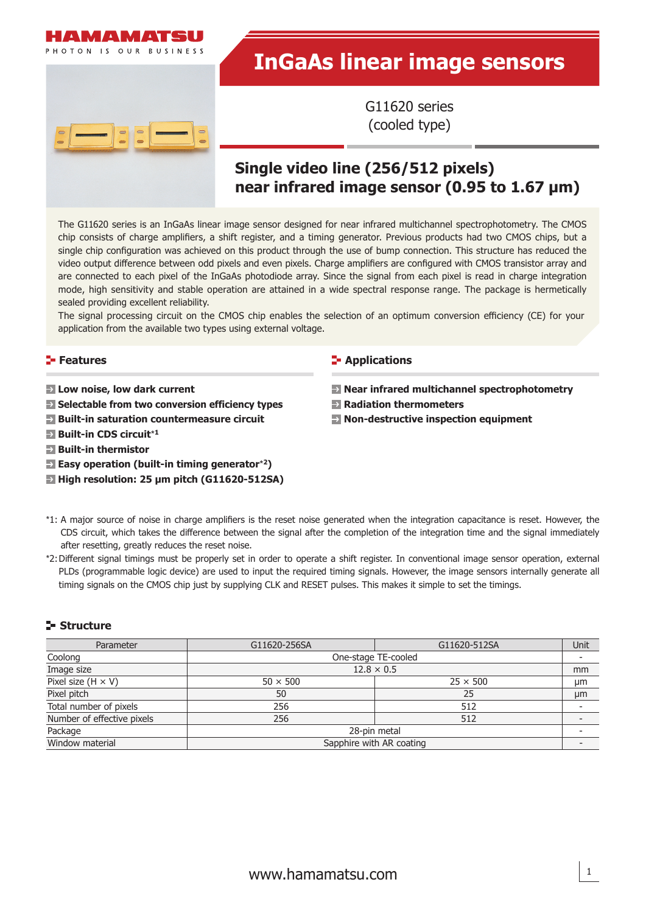

# **InGaAs linear image sensors**

G11620 series (cooled type)

# **Single video line (256/512 pixels) near infrared image sensor (0.95 to 1.67 μm)**

The G11620 series is an InGaAs linear image sensor designed for near infrared multichannel spectrophotometry. The CMOS chip consists of charge amplifiers, a shift register, and a timing generator. Previous products had two CMOS chips, but a single chip configuration was achieved on this product through the use of bump connection. This structure has reduced the video output difference between odd pixels and even pixels. Charge amplifiers are configured with CMOS transistor array and are connected to each pixel of the InGaAs photodiode array. Since the signal from each pixel is read in charge integration mode, high sensitivity and stable operation are attained in a wide spectral response range. The package is hermetically sealed providing excellent reliability.

The signal processing circuit on the CMOS chip enables the selection of an optimum conversion efficiency (CE) for your application from the available two types using external voltage.

#### **Features**

- **Low noise, low dark current**
- **Selectable from two conversion efficiency types**
- **Built-in saturation countermeasure circuit**
- **Built-in CDS circuit**\***<sup>1</sup>**
- **Built-in thermistor**
- **Easy operation (built-in timing generator**\***2)**
- **High resolution: 25 μm pitch (G11620-512SA)**

#### **E-** Applications

- **Near infrared multichannel spectrophotometry**
- **Radiation thermometers**
- **Non-destructive inspection equipment**
- \*1: A major source of noise in charge amplifiers is the reset noise generated when the integration capacitance is reset. However, the CDS circuit, which takes the difference between the signal after the completion of the integration time and the signal immediately after resetting, greatly reduces the reset noise.
- \*2: Diff erent signal timings must be properly set in order to operate a shift register. In conventional image sensor operation, external PLDs (programmable logic device) are used to input the required timing signals. However, the image sensors internally generate all timing signals on the CMOS chip just by supplying CLK and RESET pulses. This makes it simple to set the timings.

## **Structure**

| Parameter                  | G11620-256SA      | G11620-512SA             | Unit |
|----------------------------|-------------------|--------------------------|------|
| Coolong                    |                   | One-stage TE-cooled      |      |
| Image size                 | $12.8 \times 0.5$ |                          |      |
| Pixel size $(H \times V)$  | $50 \times 500$   | $25 \times 500$          | μm   |
| Pixel pitch                | 50                | 25                       | µm   |
| Total number of pixels     | 256               | 512                      |      |
| Number of effective pixels | 256               | 512                      |      |
| Package                    |                   | 28-pin metal             |      |
| Window material            |                   | Sapphire with AR coating |      |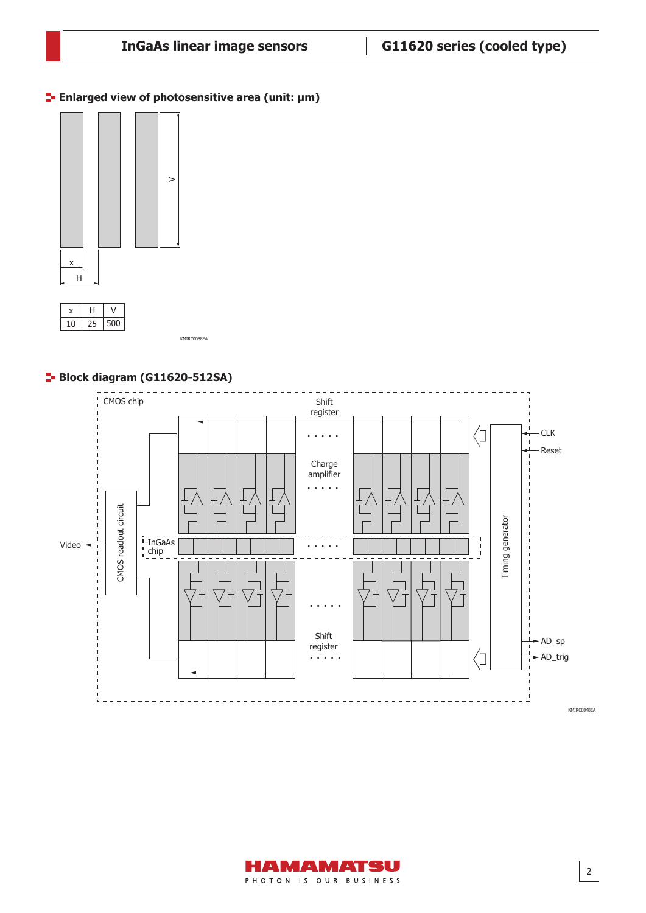**Enlarged view of photosensitive area (unit: μm)**





KMIRC0088EA

## **Block diagram (G11620-512SA)**



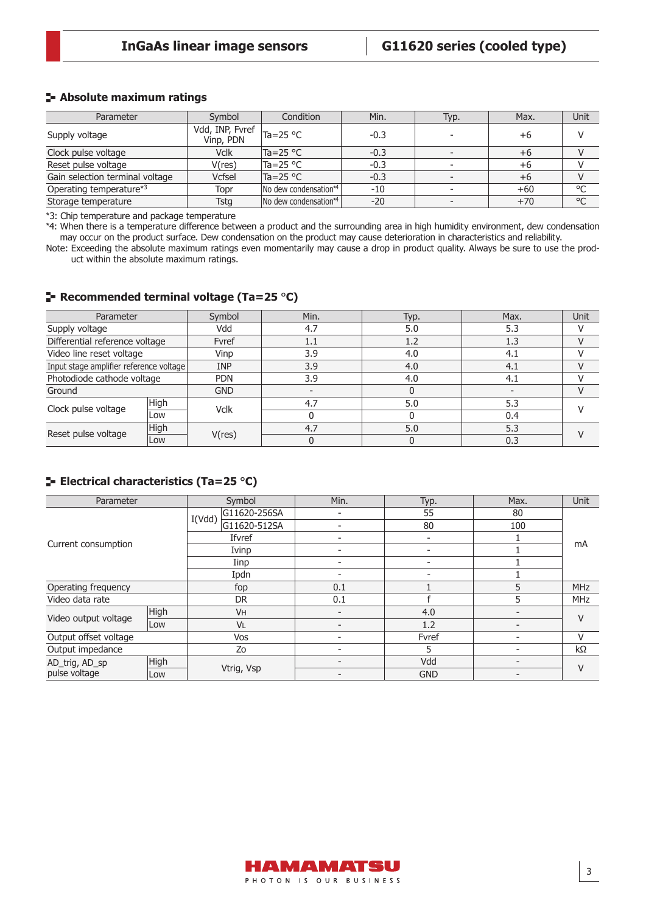## **Absolute maximum ratings**

| Parameter                       | Symbol                                                 | Condition             | Min.   | Typ. | Max.  | Unit    |
|---------------------------------|--------------------------------------------------------|-----------------------|--------|------|-------|---------|
| Supply voltage                  | Vdd, INP, Fyref $\vert_{\text{Ta}=25}$ °C<br>Vinp, PDN |                       | $-0.3$ |      | +6    |         |
| Clock pulse voltage             | <b>Vclk</b>                                            | $Ta = 25 °C$          | $-0.3$ |      | $+6$  |         |
| Reset pulse voltage             | V(res)                                                 | Ta=25 °C              | $-0.3$ |      | +6    |         |
| Gain selection terminal voltage | <b>Vcfsel</b>                                          | $Ta = 25 °C$          | $-0.3$ |      | $+6$  |         |
| Operating temperature*3         | Topr                                                   | No dew condensation*4 | $-10$  |      | $+60$ | $\circ$ |
| Storage temperature             | Tstg                                                   | No dew condensation*4 | $-20$  |      | $+70$ | °C      |

\*3: Chip temperature and package temperature

\*4: When there is a temperature difference between a product and the surrounding area in high humidity environment, dew condensation may occur on the product surface. Dew condensation on the product may cause deterioration in characteristics and reliability.

Note: Exceeding the absolute maximum ratings even momentarily may cause a drop in product quality. Always be sure to use the product within the absolute maximum ratings.

#### **Recommended terminal voltage (Ta=25** °**C)**

| Parameter                               |             | Symbol      | Min. | Typ. | Max. | Unit |
|-----------------------------------------|-------------|-------------|------|------|------|------|
| Supply voltage                          |             | Vdd         | 4.7  | 5.0  | 5.3  |      |
| Differential reference voltage          |             | Fvref       | 1.1  | 1.2  | 1.3  |      |
| Video line reset voltage                |             | Vinp        | 3.9  | 4.0  | 4.1  |      |
| Input stage amplifier reference voltage |             | <b>INP</b>  | 3.9  | 4.0  | 4.1  |      |
| Photodiode cathode voltage              |             | <b>PDN</b>  | 3.9  | 4.0  | 4.1  |      |
| Ground                                  |             | <b>GND</b>  |      |      |      |      |
| Clock pulse voltage                     | High        | <b>Vclk</b> | 4.7  | 5.0  | 5.3  |      |
|                                         | Low         |             |      |      | 0.4  |      |
| Reset pulse voltage                     | <b>High</b> |             | 4.7  | 5.0  | 5.3  |      |
|                                         | Low         | V(res)      |      |      | 0.3  |      |

## **Electrical characteristics (Ta=25** °**C)**

| Parameter              |      | Symbol                 | Min. | Typ.                     | Max. | <b>Unit</b> |  |
|------------------------|------|------------------------|------|--------------------------|------|-------------|--|
|                        |      | G11620-256SA<br>I(Vdd) |      | 55                       | 80   |             |  |
|                        |      | G11620-512SA           |      | 80                       | 100  |             |  |
|                        |      | Ifvref                 |      |                          |      |             |  |
| Current consumption    |      | Ivinp                  |      | $\overline{\phantom{0}}$ |      | mA          |  |
|                        |      | Iinp                   |      |                          |      |             |  |
|                        |      | Ipdn                   |      | $\overline{\phantom{0}}$ |      |             |  |
| Operating frequency    |      | fop                    | 0.1  |                          | 5    | <b>MHz</b>  |  |
| Video data rate        |      | <b>DR</b>              | 0.1  |                          | 5    | <b>MHz</b>  |  |
|                        | High | <b>VH</b>              |      | 4.0                      |      |             |  |
| Video output voltage   | Low  | VL                     |      | 1.2                      |      | V           |  |
| Output offset voltage  |      | Vos                    |      | Fvref                    |      | V           |  |
| Output impedance       |      | Zo                     |      | 5                        |      | $k\Omega$   |  |
| High<br>AD_trig, AD_sp |      |                        |      | Vdd                      |      | V           |  |
| pulse voltage          | Low  | Vtrig, Vsp             |      | <b>GND</b>               |      |             |  |

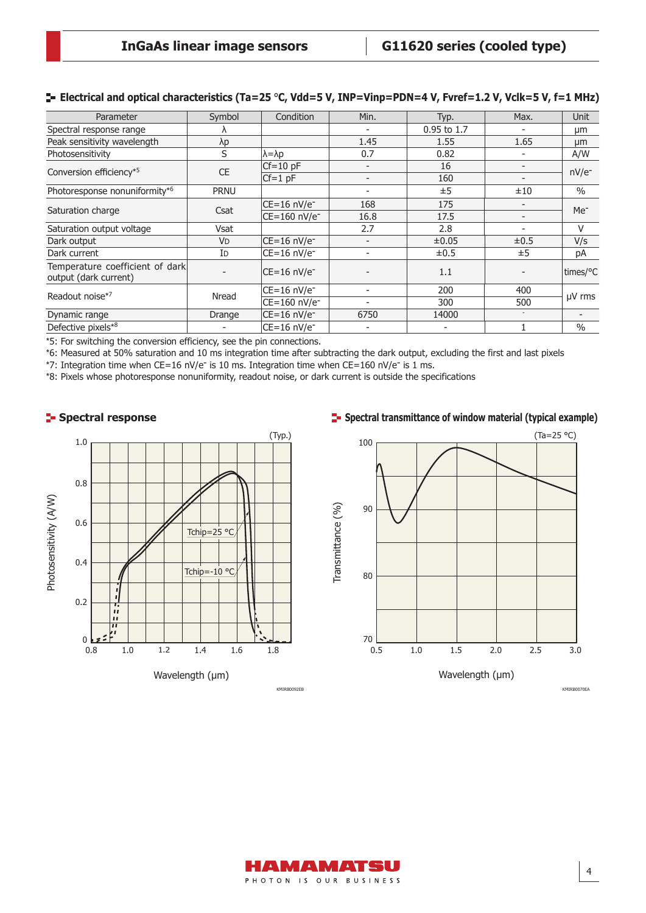| Parameter                                                | Symbol               | Condition                  | Min.                     | Typ.        | Max.                     | <b>Unit</b>     |
|----------------------------------------------------------|----------------------|----------------------------|--------------------------|-------------|--------------------------|-----------------|
| Spectral response range                                  |                      |                            |                          | 0.95 to 1.7 |                          | μm              |
| Peak sensitivity wavelength                              | λp                   |                            | 1.45                     | 1.55        | 1.65                     | μm              |
| Photosensitivity                                         | S                    | $\lambda = \lambda p$      | 0.7                      | 0.82        |                          | A/W             |
| Conversion efficiency*5                                  | <b>CE</b>            | $Cf = 10$ pF               |                          | 16          | $\overline{\phantom{a}}$ | $nV/e^-$        |
|                                                          |                      | $Cf=1$ pF                  |                          | 160         |                          |                 |
| Photoresponse nonuniformity*6                            | <b>PRNU</b>          |                            |                          | ±5          | ±10                      | $\frac{0}{0}$   |
|                                                          | Csat                 | $CE=16 nV/e^{-}$           | 168                      | 175         |                          |                 |
| Saturation charge                                        |                      | $CE=160$ nV/e <sup>-</sup> | 16.8                     | 17.5        | $\overline{\phantom{a}}$ | Me <sup>-</sup> |
| Saturation output voltage                                | Vsat                 |                            | 2.7                      | 2.8         |                          | V               |
| Dark output                                              | <b>V<sub>D</sub></b> | $CE=16 nV/e^{-}$           |                          | $\pm 0.05$  | $\pm 0.5$                | V/s             |
| Dark current                                             | ID                   | CE=16 nV/e <sup>-</sup>    | $\overline{\phantom{a}}$ | $\pm 0.5$   | ±5                       | рA              |
| Temperature coefficient of dark<br>output (dark current) |                      | $CE=16 nV/e^{-}$           |                          | 1.1         |                          | times/°C        |
|                                                          |                      | CE=16 nV/e <sup>-</sup>    | $\overline{\phantom{a}}$ | 200         | 400                      |                 |
| Readout noise*7                                          | Nread                | CE=160 nV/e <sup>-</sup>   |                          | 300         | 500                      | $\mu$ V rms     |
| Dynamic range                                            | Drange               | $CE=16 nV/e^-$             | 6750                     | 14000       | $\sim$                   |                 |
| Defective pixels*8                                       |                      | $CE=16 nV/e^{-}$           |                          |             |                          | $\frac{0}{0}$   |

## **Electrical and optical characteristics (Ta=25** °**C, Vdd=5 V, INP=Vinp=PDN=4 V, Fvref=1.2 V, Vclk=5 V, f=1 MHz)**

\*5: For switching the conversion efficiency, see the pin connections.

\*6: Measured at 50% saturation and 10 ms integration time after subtracting the dark output, excluding the first and last pixels

\*7: Integration time when CE=16 nV/e<sup>-</sup> is 10 ms. Integration time when CE=160 nV/e<sup>-</sup> is 1 ms.

\*8: Pixels whose photoresponse nonuniformity, readout noise, or dark current is outside the specifications



## **F** Spectral transmittance of window material (typical example)



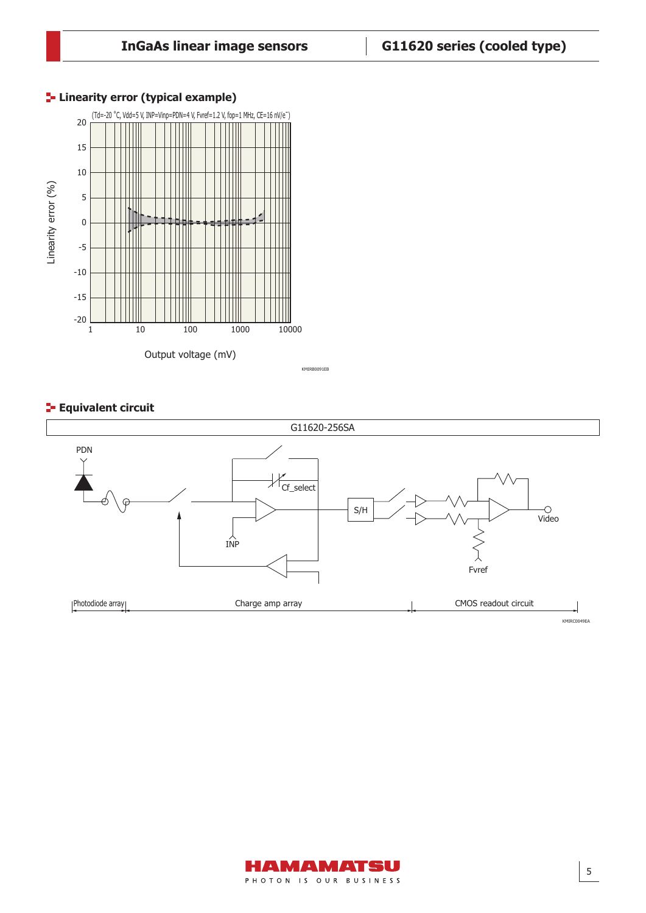

## **Linearity error (typical example)**

## **Equivalent circuit**



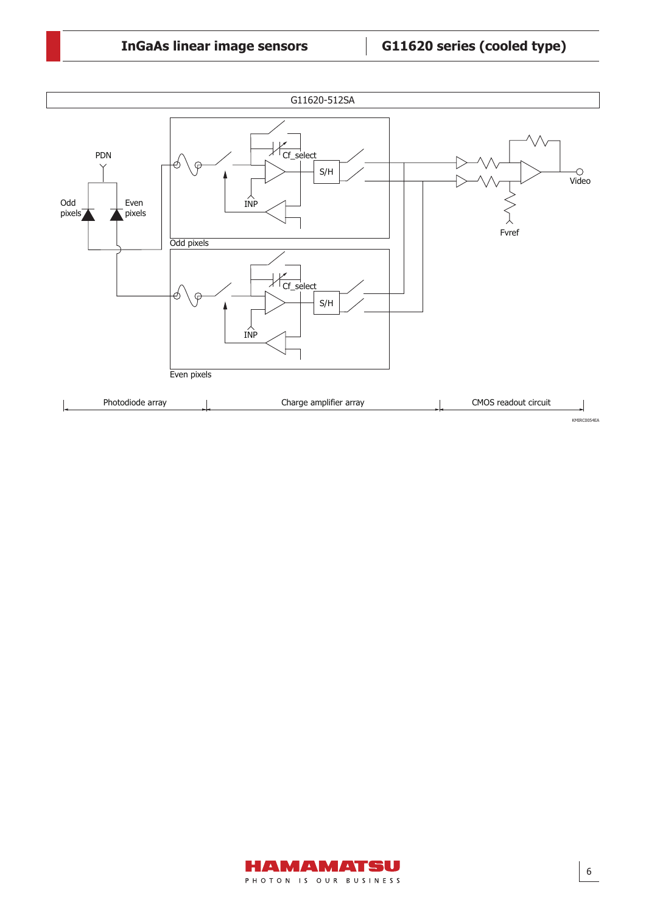

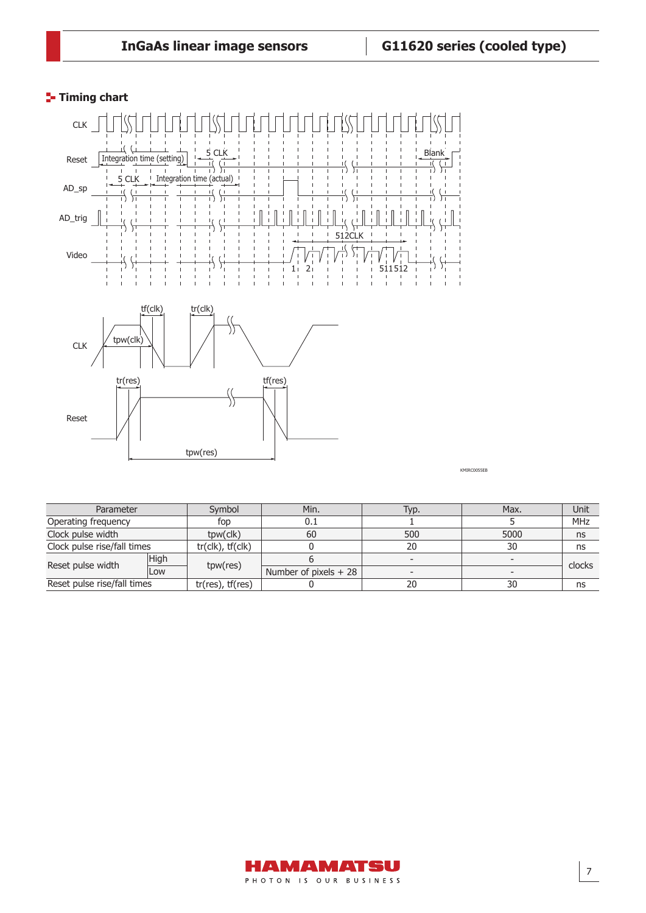## **Timing chart**



KMIRC0055EB

| Parameter                   |      | Symbol                | Min.                   | Typ.                     | Max. | Unit       |
|-----------------------------|------|-----------------------|------------------------|--------------------------|------|------------|
| Operating frequency         |      | fop                   | 0.1                    |                          |      | <b>MHz</b> |
| Clock pulse width           |      | tpw(clk)              | 60                     | 500                      | 5000 | ns         |
| Clock pulse rise/fall times |      | $tr(clk)$ , $tf(clk)$ |                        | 20                       | 30   | ns         |
| Reset pulse width           | High |                       |                        | $\overline{\phantom{a}}$ |      | clocks     |
| Low                         |      | tpw(res)              | Number of pixels $+28$ | $\overline{\phantom{0}}$ |      |            |
| Reset pulse rise/fall times |      | $tr(res)$ , $tf(res)$ |                        | 20                       | 30   | ns         |

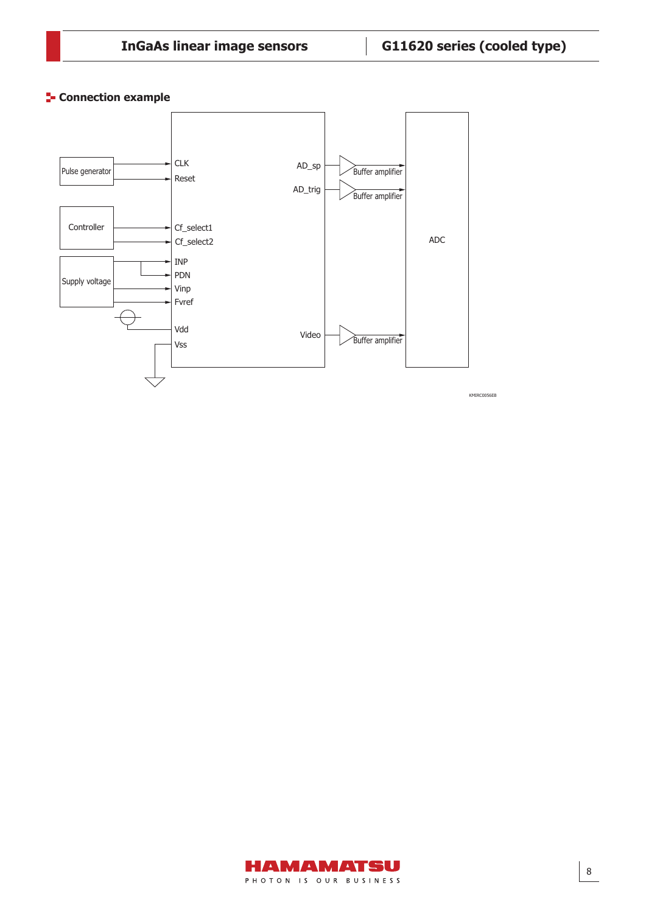**Connection example** 



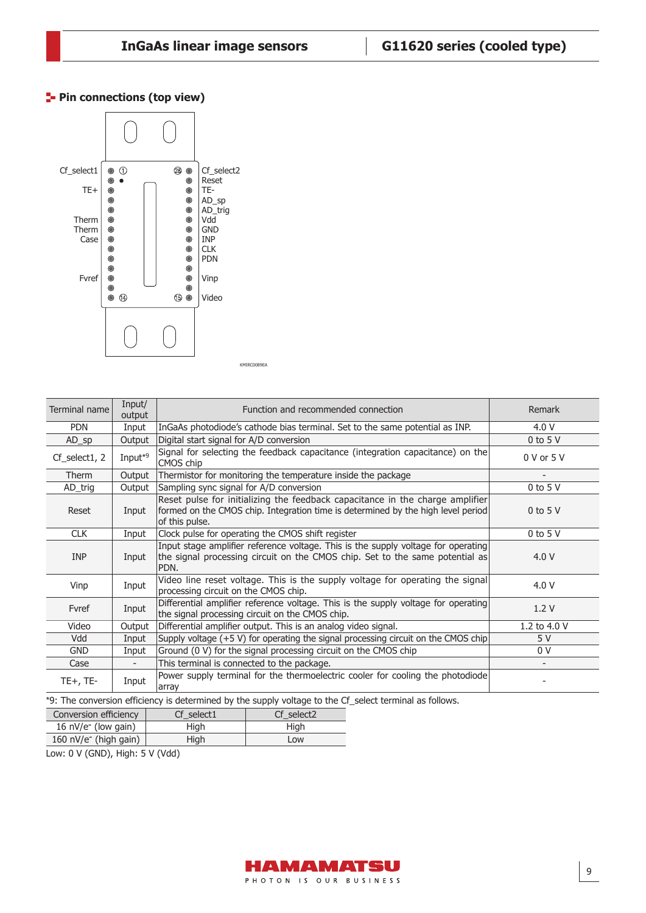## **Pin connections (top view)**



KMIRC0089EA

| Terminal name    | Input/<br>output    | Function and recommended connection                                                                                                                                                 | Remark                   |
|------------------|---------------------|-------------------------------------------------------------------------------------------------------------------------------------------------------------------------------------|--------------------------|
| <b>PDN</b>       | Input               | InGaAs photodiode's cathode bias terminal. Set to the same potential as INP.                                                                                                        | 4.0 V                    |
| $AD_sp$          | Output              | Digital start signal for A/D conversion                                                                                                                                             | $0$ to 5 V               |
| $Cf$ _select1, 2 | Input <sup>*9</sup> | Signal for selecting the feedback capacitance (integration capacitance) on the<br>CMOS chip                                                                                         | 0 V or 5 V               |
| Therm            | Output              | Thermistor for monitoring the temperature inside the package                                                                                                                        | $\overline{\phantom{a}}$ |
| AD_trig          | Output              | Sampling sync signal for A/D conversion                                                                                                                                             | $0$ to 5 V               |
| Reset            | Input               | Reset pulse for initializing the feedback capacitance in the charge amplifier<br>formed on the CMOS chip. Integration time is determined by the high level period<br>of this pulse. | $0$ to 5 V               |
| <b>CLK</b>       | Input               | Clock pulse for operating the CMOS shift register                                                                                                                                   | $0$ to 5 V               |
| <b>INP</b>       | Input               | Input stage amplifier reference voltage. This is the supply voltage for operating<br>the signal processing circuit on the CMOS chip. Set to the same potential as<br>PDN.           | 4.0 V                    |
| Vinp             | Input               | Video line reset voltage. This is the supply voltage for operating the signal<br>processing circuit on the CMOS chip.                                                               | 4.0 V                    |
| Fvref            | Input               | Differential amplifier reference voltage. This is the supply voltage for operating<br>the signal processing circuit on the CMOS chip.                                               | 1.2V                     |
| Video            | Output              | Differential amplifier output. This is an analog video signal.                                                                                                                      | 1.2 to 4.0 V             |
| Vdd              | Input               | Supply voltage $(+5 V)$ for operating the signal processing circuit on the CMOS chip                                                                                                | 5 V                      |
| <b>GND</b>       | Input               | Ground (0 V) for the signal processing circuit on the CMOS chip                                                                                                                     | 0 V                      |
| Case             |                     | This terminal is connected to the package.                                                                                                                                          |                          |
| $TE+$ , $TE-$    | Input               | Power supply terminal for the thermoelectric cooler for cooling the photodiode<br>array                                                                                             |                          |

\*9: The conversion efficiency is determined by the supply voltage to the Cf\_select terminal as follows.

| Conversion efficiency    | Cf select1 | Cf select2 |  |  |  |  |
|--------------------------|------------|------------|--|--|--|--|
| 16 $nV/e^-$ (low gain)   | Hiah       | Hiah       |  |  |  |  |
| 160 $nV/e^-$ (high gain) | Hiah       | Low        |  |  |  |  |
|                          |            |            |  |  |  |  |

Low: 0 V (GND), High: 5 V (Vdd)

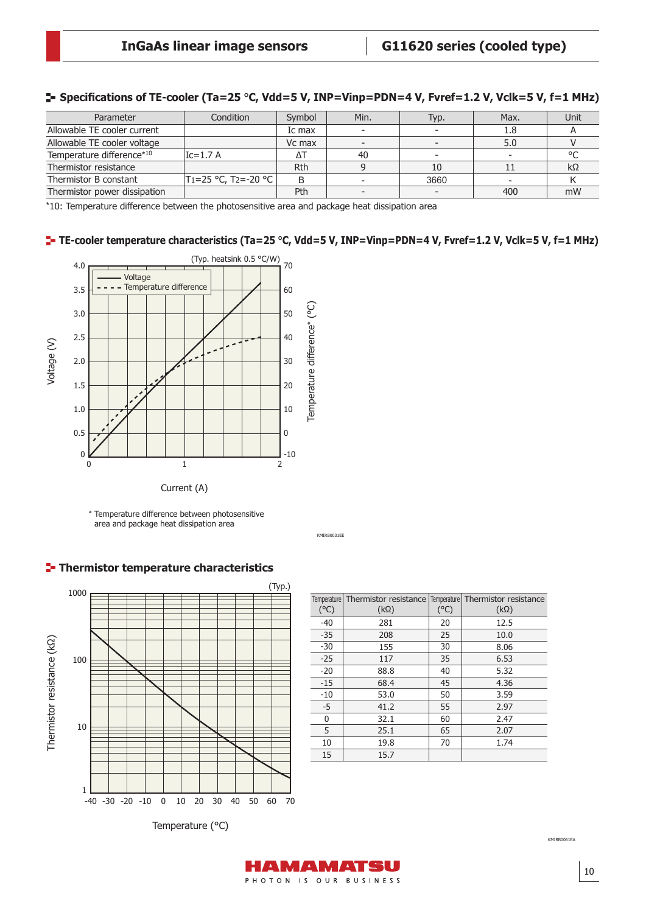| Parameter                    | Condition                            | Symbol     | Min. | Typ. | Max. | Unit |
|------------------------------|--------------------------------------|------------|------|------|------|------|
| Allowable TE cooler current  |                                      | Ic max     |      |      | 1.8  |      |
| Allowable TE cooler voltage  |                                      | Vc max     |      |      | 5.0  |      |
| Temperature difference*10    | $Ic=1.7 A$                           | Δ٦         | 40   |      |      |      |
| Thermistor resistance        |                                      | <b>Rth</b> |      |      |      | kΩ   |
| Thermistor B constant        | $ T_1=25$ °C, T <sub>2</sub> =-20 °C |            |      | 3660 |      |      |
| Thermistor power dissipation |                                      | Pth        |      |      | 400  | mW   |

## **Specifi cations of TE-cooler (Ta=25** °**C, Vdd=5 V, INP=Vinp=PDN=4 V, Fvref=1.2 V, Vclk=5 V, f=1 MHz)**

\*10: Temperature difference between the photosensitive area and package heat dissipation area

## **TE-cooler temperature characteristics (Ta=25** °**C, Vdd=5 V, INP=Vinp=PDN=4 V, Fvref=1.2 V, Vclk=5 V, f=1 MHz)**

KMIRB0031EE



\* Temperature difference between photosensitive area and package heat dissipation area



|  |  |  | Thermistor temperature characteristics |
|--|--|--|----------------------------------------|
|--|--|--|----------------------------------------|

|               | Temperature Thermistor resistance Temperature Thermistor resistance |               |             |
|---------------|---------------------------------------------------------------------|---------------|-------------|
| $(^{\circ}C)$ | $(k\Omega)$                                                         | $(^{\circ}C)$ | $(k\Omega)$ |
| $-40$         | 281                                                                 | 20            | 12.5        |
| $-35$         | 208                                                                 | 25            | 10.0        |
| $-30$         | 155                                                                 | 30            | 8.06        |
| $-25$         | 117                                                                 | 35            | 6.53        |
| $-20$         | 88.8                                                                | 40            | 5.32        |
| $-15$         | 68.4                                                                | 45            | 4.36        |
| $-10$         | 53.0                                                                | 50            | 3.59        |
| $-5$          | 41.2                                                                | 55            | 2.97        |
| 0             | 32.1                                                                | 60            | 2.47        |
| 5             | 25.1                                                                | 65            | 2.07        |
| 10            | 19.8                                                                | 70            | 1.74        |
| 15            | 15.7                                                                |               |             |
|               |                                                                     |               |             |

Temperature (°C)

KMIRB0061EA

PHOTON IS OUR BUSINESS

AMAMATSU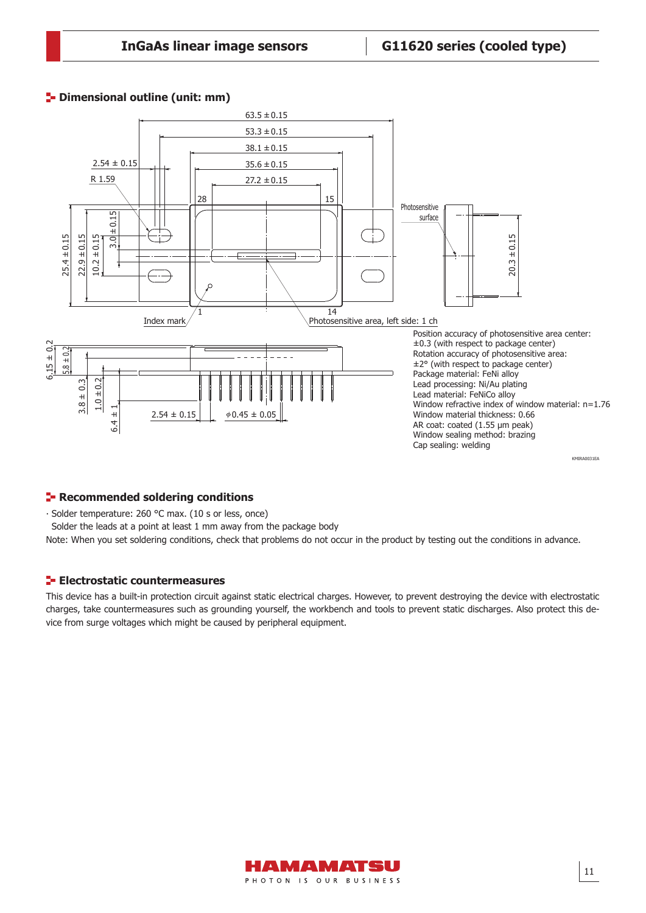## **<sup>1</sup>-** Dimensional outline (unit: mm)



## **Recommended soldering conditions**

∙ Solder temperature: 260 °C max. (10 s or less, once)

Solder the leads at a point at least 1 mm away from the package body

Note: When you set soldering conditions, check that problems do not occur in the product by testing out the conditions in advance.

#### **Electrostatic countermeasures**

This device has a built-in protection circuit against static electrical charges. However, to prevent destroying the device with electrostatic charges, take countermeasures such as grounding yourself, the workbench and tools to prevent static discharges. Also protect this device from surge voltages which might be caused by peripheral equipment.